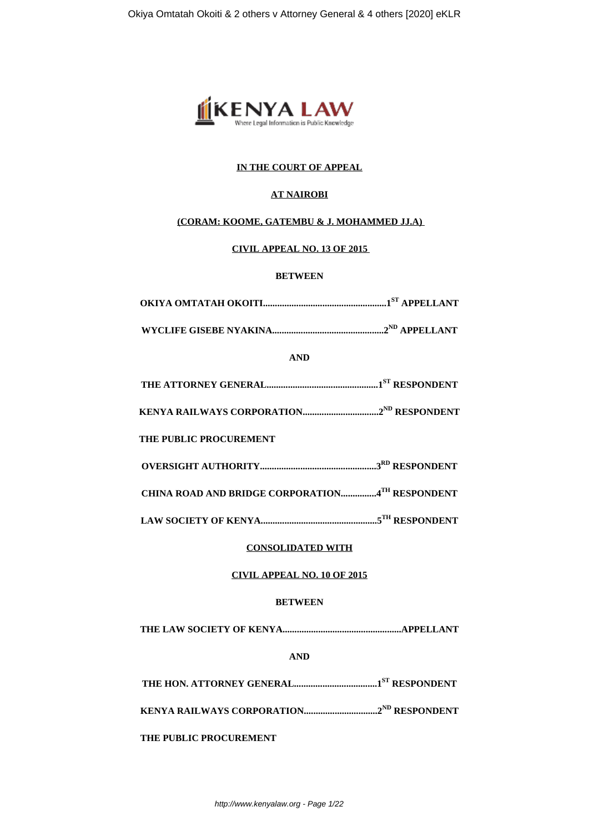

# **IN THE COURT OF APPEAL**

## **AT NAIROBI**

### **(CORAM: KOOME, GATEMBU & J. MOHAMMED JJ.A)**

### **CIVIL APPEAL NO. 13 OF 2015**

## **BETWEEN**

**WYCLIFE GISEBE NYAKINA...............................................2ND APPELLANT**

**AND**

|--|--|--|--|

**KENYA RAILWAYS CORPORATION................................2ND RESPONDENT**

 **THE PUBLIC PROCUREMENT**

**OVERSIGHT AUTHORITY.................................................3RD RESPONDENT**

**CHINA ROAD AND BRIDGE CORPORATION...............4TH RESPONDENT**

**LAW SOCIETY OF KENYA.................................................5TH RESPONDENT**

# **CONSOLIDATED WITH**

# **CIVIL APPEAL NO. 10 OF 2015**

# **BETWEEN**

**THE LAW SOCIETY OF KENYA..................................................APPELLANT**

**AND**

**THE HON. ATTORNEY GENERAL...................................1ST RESPONDENT**

**KENYA RAILWAYS CORPORATION...............................2ND RESPONDENT**

**THE PUBLIC PROCUREMENT**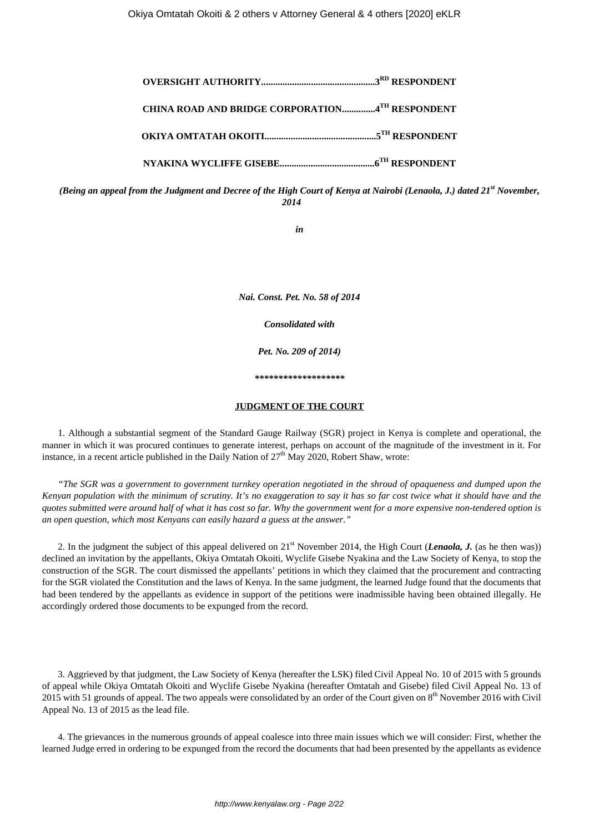**OVERSIGHT AUTHORITY................................................3RD RESPONDENT CHINA ROAD AND BRIDGE CORPORATION..............4TH RESPONDENT OKIYA OMTATAH OKOITI...............................................5TH RESPONDENT NYAKINA WYCLIFFE GISEBE........................................6TH RESPONDENT**

*(Being an appeal from the Judgment and Decree of the High Court of Kenya at Nairobi (Lenaola, J.) dated 21st November, 2014*

*in*

*Nai. Const. Pet. No. 58 of 2014*

*Consolidated with*

*Pet. No. 209 of 2014)*

*\*\*\*\*\*\*\*\*\*\*\*\*\*\*\*\*\*\*\**

#### **JUDGMENT OF THE COURT**

1. Although a substantial segment of the Standard Gauge Railway (SGR) project in Kenya is complete and operational, the manner in which it was procured continues to generate interest, perhaps on account of the magnitude of the investment in it. For instance, in a recent article published in the Daily Nation of  $27<sup>th</sup>$  May 2020, Robert Shaw, wrote:

*"The SGR was a government to government turnkey operation negotiated in the shroud of opaqueness and dumped upon the Kenyan population with the minimum of scrutiny. It's no exaggeration to say it has so far cost twice what it should have and the quotes submitted were around half of what it has cost so far. Why the government went for a more expensive non-tendered option is an open question, which most Kenyans can easily hazard a guess at the answer."*

2. In the judgment the subject of this appeal delivered on  $21<sup>st</sup>$  November 2014, the High Court *(Lenaola, J.* (as he then was)) declined an invitation by the appellants, Okiya Omtatah Okoiti, Wyclife Gisebe Nyakina and the Law Society of Kenya, to stop the construction of the SGR. The court dismissed the appellants' petitions in which they claimed that the procurement and contracting for the SGR violated the Constitution and the laws of Kenya. In the same judgment, the learned Judge found that the documents that had been tendered by the appellants as evidence in support of the petitions were inadmissible having been obtained illegally. He accordingly ordered those documents to be expunged from the record.

3. Aggrieved by that judgment, the Law Society of Kenya (hereafter the LSK) filed Civil Appeal No. 10 of 2015 with 5 grounds of appeal while Okiya Omtatah Okoiti and Wyclife Gisebe Nyakina (hereafter Omtatah and Gisebe) filed Civil Appeal No. 13 of 2015 with 51 grounds of appeal. The two appeals were consolidated by an order of the Court given on 8<sup>th</sup> November 2016 with Civil Appeal No. 13 of 2015 as the lead file.

4. The grievances in the numerous grounds of appeal coalesce into three main issues which we will consider: First, whether the learned Judge erred in ordering to be expunged from the record the documents that had been presented by the appellants as evidence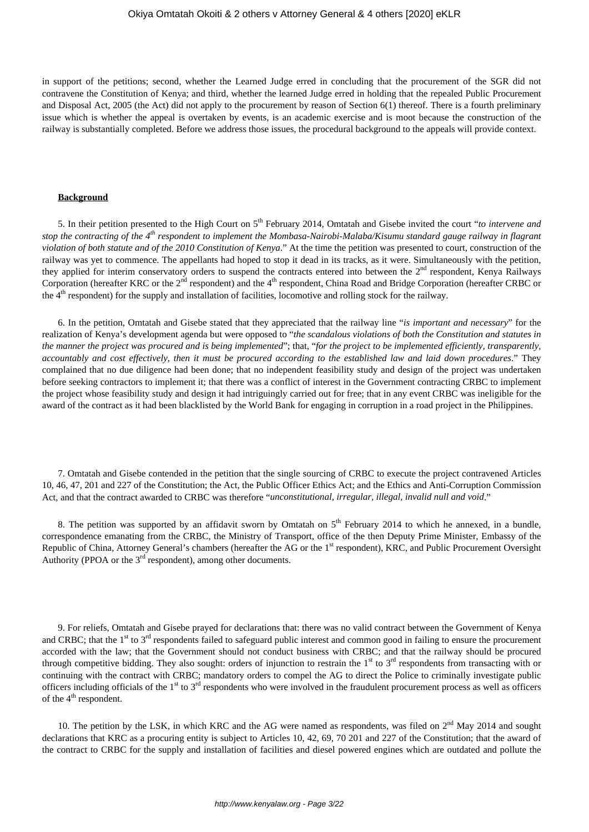in support of the petitions; second, whether the Learned Judge erred in concluding that the procurement of the SGR did not contravene the Constitution of Kenya; and third, whether the learned Judge erred in holding that the repealed Public Procurement and Disposal Act, 2005 (the Act) did not apply to the procurement by reason of Section 6(1) thereof. There is a fourth preliminary issue which is whether the appeal is overtaken by events, is an academic exercise and is moot because the construction of the railway is substantially completed. Before we address those issues, the procedural background to the appeals will provide context.

#### **Background**

5. In their petition presented to the High Court on 5th February 2014, Omtatah and Gisebe invited the court "*to intervene and stop the contracting of the 4th respondent to implement the Mombasa-Nairobi-Malaba/Kisumu standard gauge railway in flagrant violation of both statute and of the 2010 Constitution of Kenya*." At the time the petition was presented to court, construction of the railway was yet to commence. The appellants had hoped to stop it dead in its tracks, as it were. Simultaneously with the petition, they applied for interim conservatory orders to suspend the contracts entered into between the 2<sup>nd</sup> respondent, Kenya Railways Corporation (hereafter KRC or the 2<sup>nd</sup> respondent) and the 4<sup>th</sup> respondent, China Road and Bridge Corporation (hereafter CRBC or the 4<sup>th</sup> respondent) for the supply and installation of facilities, locomotive and rolling stock for the railway.

6. In the petition, Omtatah and Gisebe stated that they appreciated that the railway line "*is important and necessary*" for the realization of Kenya's development agenda but were opposed to "*the scandalous violations of both the Constitution and statutes in the manner the project was procured and is being implemented*"; that, "*for the project to be implemented efficiently, transparently, accountably and cost effectively*, *then it must be procured according to the established law and laid down procedures*." They complained that no due diligence had been done; that no independent feasibility study and design of the project was undertaken before seeking contractors to implement it; that there was a conflict of interest in the Government contracting CRBC to implement the project whose feasibility study and design it had intriguingly carried out for free; that in any event CRBC was ineligible for the award of the contract as it had been blacklisted by the World Bank for engaging in corruption in a road project in the Philippines.

7. Omtatah and Gisebe contended in the petition that the single sourcing of CRBC to execute the project contravened Articles 10, 46, 47, 201 and 227 of the Constitution; the Act, the Public Officer Ethics Act; and the Ethics and Anti-Corruption Commission Act, and that the contract awarded to CRBC was therefore "*unconstitutional, irregular, illegal, invalid null and void*."

8. The petition was supported by an affidavit sworn by Omtatah on  $5<sup>th</sup>$  February 2014 to which he annexed, in a bundle, correspondence emanating from the CRBC, the Ministry of Transport, office of the then Deputy Prime Minister, Embassy of the Republic of China, Attorney General's chambers (hereafter the AG or the 1<sup>st</sup> respondent), KRC, and Public Procurement Oversight Authority (PPOA or the  $3<sup>rd</sup>$  respondent), among other documents.

9. For reliefs, Omtatah and Gisebe prayed for declarations that: there was no valid contract between the Government of Kenya and CRBC; that the  $1<sup>st</sup>$  to  $3<sup>rd</sup>$  respondents failed to safeguard public interest and common good in failing to ensure the procurement accorded with the law; that the Government should not conduct business with CRBC; and that the railway should be procured through competitive bidding. They also sought: orders of injunction to restrain the  $1<sup>st</sup>$  to  $3<sup>rd</sup>$  respondents from transacting with or continuing with the contract with CRBC; mandatory orders to compel the AG to direct the Police to criminally investigate public officers including officials of the 1<sup>st</sup> to 3<sup>rd</sup> respondents who were involved in the fraudulent procurement process as well as officers of the  $4<sup>th</sup>$  respondent.

10. The petition by the LSK, in which KRC and the AG were named as respondents, was filed on  $2<sup>nd</sup>$  May 2014 and sought declarations that KRC as a procuring entity is subject to Articles 10, 42, 69, 70 201 and 227 of the Constitution; that the award of the contract to CRBC for the supply and installation of facilities and diesel powered engines which are outdated and pollute the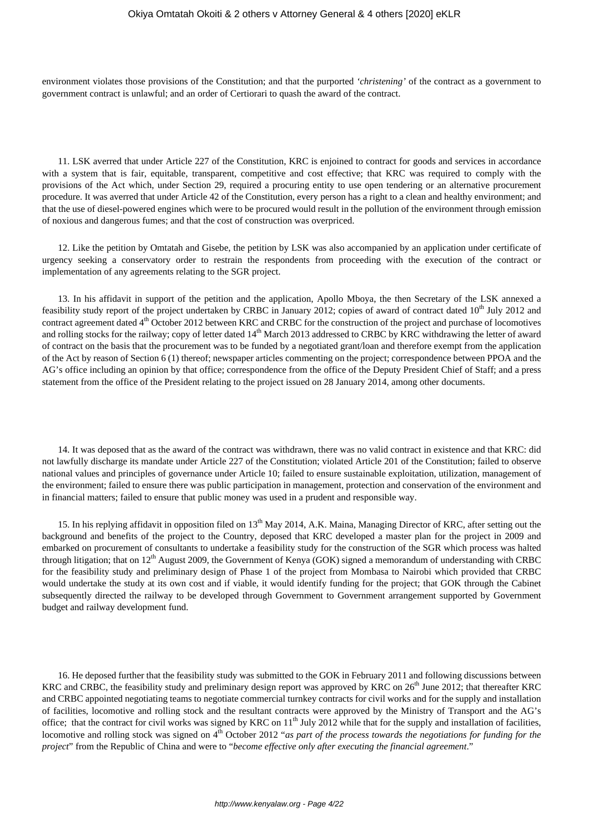environment violates those provisions of the Constitution; and that the purported *'christening'* of the contract as a government to government contract is unlawful; and an order of Certiorari to quash the award of the contract.

11. LSK averred that under Article 227 of the Constitution, KRC is enjoined to contract for goods and services in accordance with a system that is fair, equitable, transparent, competitive and cost effective; that KRC was required to comply with the provisions of the Act which, under Section 29, required a procuring entity to use open tendering or an alternative procurement procedure. It was averred that under Article 42 of the Constitution, every person has a right to a clean and healthy environment; and that the use of diesel-powered engines which were to be procured would result in the pollution of the environment through emission of noxious and dangerous fumes; and that the cost of construction was overpriced.

12. Like the petition by Omtatah and Gisebe, the petition by LSK was also accompanied by an application under certificate of urgency seeking a conservatory order to restrain the respondents from proceeding with the execution of the contract or implementation of any agreements relating to the SGR project.

13. In his affidavit in support of the petition and the application, Apollo Mboya, the then Secretary of the LSK annexed a feasibility study report of the project undertaken by CRBC in January 2012; copies of award of contract dated  $10<sup>th</sup>$  July 2012 and contract agreement dated 4<sup>th</sup> October 2012 between KRC and CRBC for the construction of the project and purchase of locomotives and rolling stocks for the railway; copy of letter dated 14<sup>th</sup> March 2013 addressed to CRBC by KRC withdrawing the letter of award of contract on the basis that the procurement was to be funded by a negotiated grant/loan and therefore exempt from the application of the Act by reason of Section 6 (1) thereof; newspaper articles commenting on the project; correspondence between PPOA and the AG's office including an opinion by that office; correspondence from the office of the Deputy President Chief of Staff; and a press statement from the office of the President relating to the project issued on 28 January 2014, among other documents.

14. It was deposed that as the award of the contract was withdrawn, there was no valid contract in existence and that KRC: did not lawfully discharge its mandate under Article 227 of the Constitution; violated Article 201 of the Constitution; failed to observe national values and principles of governance under Article 10; failed to ensure sustainable exploitation, utilization, management of the environment; failed to ensure there was public participation in management, protection and conservation of the environment and in financial matters; failed to ensure that public money was used in a prudent and responsible way.

15. In his replying affidavit in opposition filed on 13<sup>th</sup> May 2014, A.K. Maina, Managing Director of KRC, after setting out the background and benefits of the project to the Country, deposed that KRC developed a master plan for the project in 2009 and embarked on procurement of consultants to undertake a feasibility study for the construction of the SGR which process was halted through litigation; that on 12<sup>th</sup> August 2009, the Government of Kenya (GOK) signed a memorandum of understanding with CRBC for the feasibility study and preliminary design of Phase 1 of the project from Mombasa to Nairobi which provided that CRBC would undertake the study at its own cost and if viable, it would identify funding for the project; that GOK through the Cabinet subsequently directed the railway to be developed through Government to Government arrangement supported by Government budget and railway development fund.

16. He deposed further that the feasibility study was submitted to the GOK in February 2011 and following discussions between KRC and CRBC, the feasibility study and preliminary design report was approved by KRC on  $26<sup>th</sup>$  June 2012; that thereafter KRC and CRBC appointed negotiating teams to negotiate commercial turnkey contracts for civil works and for the supply and installation of facilities, locomotive and rolling stock and the resultant contracts were approved by the Ministry of Transport and the AG's office; that the contract for civil works was signed by KRC on  $11<sup>th</sup>$  July 2012 while that for the supply and installation of facilities, locomotive and rolling stock was signed on 4<sup>th</sup> October 2012 "*as part of the process towards the negotiations for funding for the project*" from the Republic of China and were to "*become effective only after executing the financial agreement*."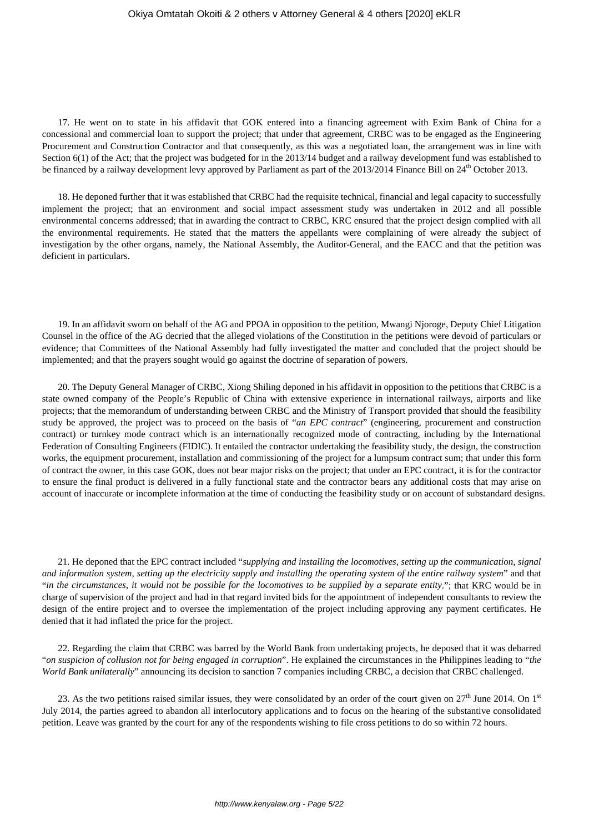17. He went on to state in his affidavit that GOK entered into a financing agreement with Exim Bank of China for a concessional and commercial loan to support the project; that under that agreement, CRBC was to be engaged as the Engineering Procurement and Construction Contractor and that consequently, as this was a negotiated loan, the arrangement was in line with Section 6(1) of the Act; that the project was budgeted for in the 2013/14 budget and a railway development fund was established to be financed by a railway development levy approved by Parliament as part of the  $2013/2014$  Finance Bill on  $24<sup>th</sup>$  October 2013.

18. He deponed further that it was established that CRBC had the requisite technical, financial and legal capacity to successfully implement the project; that an environment and social impact assessment study was undertaken in 2012 and all possible environmental concerns addressed; that in awarding the contract to CRBC, KRC ensured that the project design complied with all the environmental requirements. He stated that the matters the appellants were complaining of were already the subject of investigation by the other organs, namely, the National Assembly, the Auditor-General, and the EACC and that the petition was deficient in particulars.

19. In an affidavit sworn on behalf of the AG and PPOA in opposition to the petition, Mwangi Njoroge, Deputy Chief Litigation Counsel in the office of the AG decried that the alleged violations of the Constitution in the petitions were devoid of particulars or evidence; that Committees of the National Assembly had fully investigated the matter and concluded that the project should be implemented; and that the prayers sought would go against the doctrine of separation of powers.

20. The Deputy General Manager of CRBC, Xiong Shiling deponed in his affidavit in opposition to the petitions that CRBC is a state owned company of the People's Republic of China with extensive experience in international railways, airports and like projects; that the memorandum of understanding between CRBC and the Ministry of Transport provided that should the feasibility study be approved, the project was to proceed on the basis of "*an EPC contract*" (engineering, procurement and construction contract) or turnkey mode contract which is an internationally recognized mode of contracting, including by the International Federation of Consulting Engineers (FIDIC). It entailed the contractor undertaking the feasibility study, the design, the construction works, the equipment procurement, installation and commissioning of the project for a lumpsum contract sum; that under this form of contract the owner, in this case GOK, does not bear major risks on the project; that under an EPC contract, it is for the contractor to ensure the final product is delivered in a fully functional state and the contractor bears any additional costs that may arise on account of inaccurate or incomplete information at the time of conducting the feasibility study or on account of substandard designs.

21. He deponed that the EPC contract included "*supplying and installing the locomotives, setting up the communication, signal and information system, setting up the electricity supply and installing the operating system of the entire railway system*" and that "*in the circumstances, it would not be possible for the locomotives to be supplied by a separate entity*."; that KRC would be in charge of supervision of the project and had in that regard invited bids for the appointment of independent consultants to review the design of the entire project and to oversee the implementation of the project including approving any payment certificates. He denied that it had inflated the price for the project.

22. Regarding the claim that CRBC was barred by the World Bank from undertaking projects, he deposed that it was debarred "*on suspicion of collusion not for being engaged in corruption*". He explained the circumstances in the Philippines leading to "*the World Bank unilaterally*" announcing its decision to sanction 7 companies including CRBC, a decision that CRBC challenged.

23. As the two petitions raised similar issues, they were consolidated by an order of the court given on  $27<sup>th</sup>$  June 2014. On 1<sup>st</sup> July 2014, the parties agreed to abandon all interlocutory applications and to focus on the hearing of the substantive consolidated petition. Leave was granted by the court for any of the respondents wishing to file cross petitions to do so within 72 hours.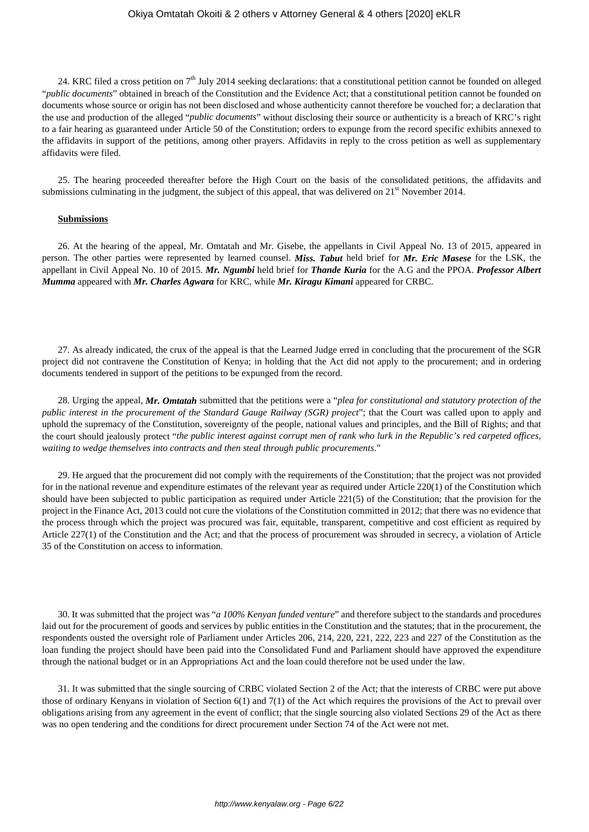24. KRC filed a cross petition on 7<sup>th</sup> July 2014 seeking declarations: that a constitutional petition cannot be founded on alleged "*public documents*" obtained in breach of the Constitution and the Evidence Act; that a constitutional petition cannot be founded on documents whose source or origin has not been disclosed and whose authenticity cannot therefore be vouched for; a declaration that the use and production of the alleged "*public documents*" without disclosing their source or authenticity is a breach of KRC's right to a fair hearing as guaranteed under Article 50 of the Constitution; orders to expunge from the record specific exhibits annexed to the affidavits in support of the petitions, among other prayers. Affidavits in reply to the cross petition as well as supplementary affidavits were filed.

25. The hearing proceeded thereafter before the High Court on the basis of the consolidated petitions, the affidavits and submissions culminating in the judgment, the subject of this appeal, that was delivered on  $21<sup>st</sup>$  November 2014.

#### **Submissions**

26. At the hearing of the appeal, Mr. Omtatah and Mr. Gisebe, the appellants in Civil Appeal No. 13 of 2015, appeared in person. The other parties were represented by learned counsel. *Miss. Tabut* held brief for *Mr. Eric Masese* for the LSK, the appellant in Civil Appeal No. 10 of 2015. *Mr. Ngumbi* held brief for *Thande Kuria* for the A.G and the PPOA. *Professor Albert Mumma* appeared with *Mr. Charles Agwara* for KRC, while *Mr. Kiragu Kimani* appeared for CRBC.

27. As already indicated, the crux of the appeal is that the Learned Judge erred in concluding that the procurement of the SGR project did not contravene the Constitution of Kenya; in holding that the Act did not apply to the procurement; and in ordering documents tendered in support of the petitions to be expunged from the record.

28. Urging the appeal, *Mr. Omtatah* submitted that the petitions were a "*plea for constitutional and statutory protection of the public interest in the procurement of the Standard Gauge Railway (SGR) project*"; that the Court was called upon to apply and uphold the supremacy of the Constitution, sovereignty of the people, national values and principles, and the Bill of Rights; and that the court should jealously protect "*the public interest against corrupt men of rank who lurk in the Republic's red carpeted offices, waiting to wedge themselves into contracts and then steal through public procurements*."

29. He argued that the procurement did not comply with the requirements of the Constitution; that the project was not provided for in the national revenue and expenditure estimates of the relevant year as required under Article 220(1) of the Constitution which should have been subjected to public participation as required under Article 221(5) of the Constitution; that the provision for the project in the Finance Act, 2013 could not cure the violations of the Constitution committed in 2012; that there was no evidence that the process through which the project was procured was fair, equitable, transparent, competitive and cost efficient as required by Article 227(1) of the Constitution and the Act; and that the process of procurement was shrouded in secrecy, a violation of Article 35 of the Constitution on access to information.

30. It was submitted that the project was "*a 100% Kenyan funded venture*" and therefore subject to the standards and procedures laid out for the procurement of goods and services by public entities in the Constitution and the statutes; that in the procurement, the respondents ousted the oversight role of Parliament under Articles 206, 214, 220, 221, 222, 223 and 227 of the Constitution as the loan funding the project should have been paid into the Consolidated Fund and Parliament should have approved the expenditure through the national budget or in an Appropriations Act and the loan could therefore not be used under the law.

31. It was submitted that the single sourcing of CRBC violated Section 2 of the Act; that the interests of CRBC were put above those of ordinary Kenyans in violation of Section 6(1) and 7(1) of the Act which requires the provisions of the Act to prevail over obligations arising from any agreement in the event of conflict; that the single sourcing also violated Sections 29 of the Act as there was no open tendering and the conditions for direct procurement under Section 74 of the Act were not met.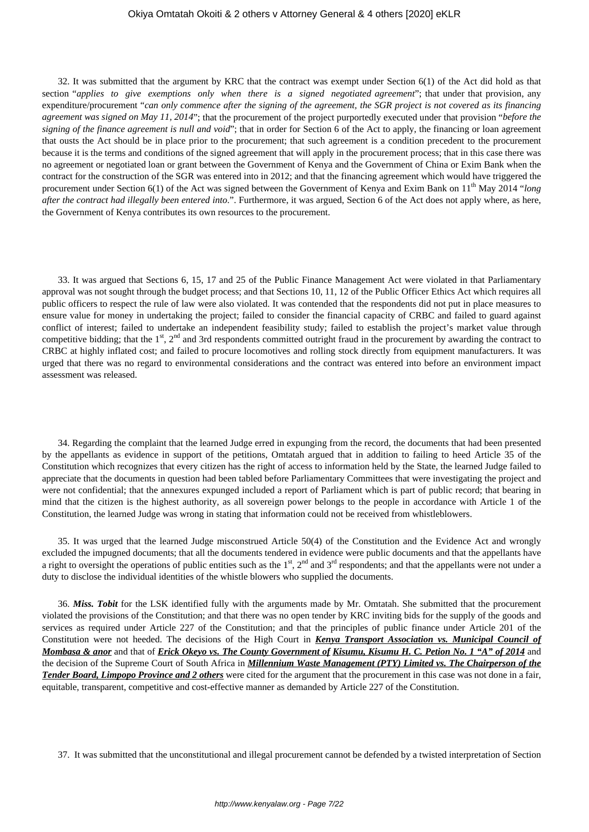32. It was submitted that the argument by KRC that the contract was exempt under Section 6(1) of the Act did hold as that section "*applies to give exemptions only when there is a signed negotiated agreement*"; that under that provision, any expenditure/procurement "*can only commence after the signing of the agreement, the SGR project is not covered as its financing agreement was signed on May 11, 2014*"; that the procurement of the project purportedly executed under that provision "*before the signing of the finance agreement is null and void*"; that in order for Section 6 of the Act to apply, the financing or loan agreement that ousts the Act should be in place prior to the procurement; that such agreement is a condition precedent to the procurement because it is the terms and conditions of the signed agreement that will apply in the procurement process; that in this case there was no agreement or negotiated loan or grant between the Government of Kenya and the Government of China or Exim Bank when the contract for the construction of the SGR was entered into in 2012; and that the financing agreement which would have triggered the procurement under Section 6(1) of the Act was signed between the Government of Kenya and Exim Bank on 11<sup>th</sup> May 2014 "*long after the contract had illegally been entered into*.". Furthermore, it was argued, Section 6 of the Act does not apply where, as here, the Government of Kenya contributes its own resources to the procurement.

33. It was argued that Sections 6, 15, 17 and 25 of the Public Finance Management Act were violated in that Parliamentary approval was not sought through the budget process; and that Sections 10, 11, 12 of the Public Officer Ethics Act which requires all public officers to respect the rule of law were also violated. It was contended that the respondents did not put in place measures to ensure value for money in undertaking the project; failed to consider the financial capacity of CRBC and failed to guard against conflict of interest; failed to undertake an independent feasibility study; failed to establish the project's market value through competitive bidding; that the 1<sup>st</sup>, 2<sup>nd</sup> and 3rd respondents committed outright fraud in the procurement by awarding the contract to CRBC at highly inflated cost; and failed to procure locomotives and rolling stock directly from equipment manufacturers. It was urged that there was no regard to environmental considerations and the contract was entered into before an environment impact assessment was released.

34. Regarding the complaint that the learned Judge erred in expunging from the record, the documents that had been presented by the appellants as evidence in support of the petitions, Omtatah argued that in addition to failing to heed Article 35 of the Constitution which recognizes that every citizen has the right of access to information held by the State, the learned Judge failed to appreciate that the documents in question had been tabled before Parliamentary Committees that were investigating the project and were not confidential; that the annexures expunged included a report of Parliament which is part of public record; that bearing in mind that the citizen is the highest authority, as all sovereign power belongs to the people in accordance with Article 1 of the Constitution, the learned Judge was wrong in stating that information could not be received from whistleblowers.

35. It was urged that the learned Judge misconstrued Article 50(4) of the Constitution and the Evidence Act and wrongly excluded the impugned documents; that all the documents tendered in evidence were public documents and that the appellants have a right to oversight the operations of public entities such as the  $1<sup>st</sup>$ ,  $2<sup>nd</sup>$  and  $3<sup>rd</sup>$  respondents; and that the appellants were not under a duty to disclose the individual identities of the whistle blowers who supplied the documents.

36. *Miss. Tobit* for the LSK identified fully with the arguments made by Mr. Omtatah. She submitted that the procurement violated the provisions of the Constitution; and that there was no open tender by KRC inviting bids for the supply of the goods and services as required under Article 227 of the Constitution; and that the principles of public finance under Article 201 of the Constitution were not heeded. The decisions of the High Court in *Kenya Transport Association vs. Municipal Council of Mombasa & anor* and that of *Erick Okeyo vs. The County Government of Kisumu, Kisumu H. C. Petion No. 1 "A" of 2014* and the decision of the Supreme Court of South Africa in *Millennium Waste Management (PTY) Limited vs. The Chairperson of the* **Tender Board, Limpopo Province and 2 others** were cited for the argument that the procurement in this case was not done in a fair, equitable, transparent, competitive and cost-effective manner as demanded by Article 227 of the Constitution.

37. It was submitted that the unconstitutional and illegal procurement cannot be defended by a twisted interpretation of Section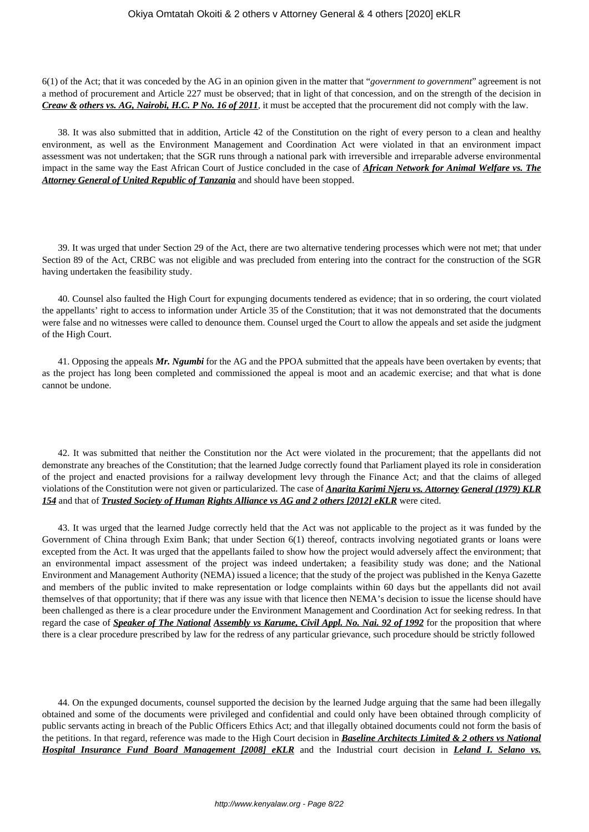6(1) of the Act; that it was conceded by the AG in an opinion given in the matter that "*government to government*" agreement is not a method of procurement and Article 227 must be observed; that in light of that concession, and on the strength of the decision in *Creaw & others vs. AG, Nairobi, H.C. P No. 16 of 2011*, it must be accepted that the procurement did not comply with the law.

38. It was also submitted that in addition, Article 42 of the Constitution on the right of every person to a clean and healthy environment, as well as the Environment Management and Coordination Act were violated in that an environment impact assessment was not undertaken; that the SGR runs through a national park with irreversible and irreparable adverse environmental impact in the same way the East African Court of Justice concluded in the case of *African Network for Animal Welfare vs. The Attorney General of United Republic of Tanzania* and should have been stopped.

39. It was urged that under Section 29 of the Act, there are two alternative tendering processes which were not met; that under Section 89 of the Act, CRBC was not eligible and was precluded from entering into the contract for the construction of the SGR having undertaken the feasibility study.

40. Counsel also faulted the High Court for expunging documents tendered as evidence; that in so ordering, the court violated the appellants' right to access to information under Article 35 of the Constitution; that it was not demonstrated that the documents were false and no witnesses were called to denounce them. Counsel urged the Court to allow the appeals and set aside the judgment of the High Court.

41. Opposing the appeals *Mr. Ngumbi* for the AG and the PPOA submitted that the appeals have been overtaken by events; that as the project has long been completed and commissioned the appeal is moot and an academic exercise; and that what is done cannot be undone.

42. It was submitted that neither the Constitution nor the Act were violated in the procurement; that the appellants did not demonstrate any breaches of the Constitution; that the learned Judge correctly found that Parliament played its role in consideration of the project and enacted provisions for a railway development levy through the Finance Act; and that the claims of alleged violations of the Constitution were not given or particularized. The case of *Anarita Karimi Njeru vs. Attorney General (1979) KLR 154* and that of *Trusted Society of Human Rights Alliance vs AG and 2 others [2012] eKLR* were cited.

43. It was urged that the learned Judge correctly held that the Act was not applicable to the project as it was funded by the Government of China through Exim Bank; that under Section 6(1) thereof, contracts involving negotiated grants or loans were excepted from the Act. It was urged that the appellants failed to show how the project would adversely affect the environment; that an environmental impact assessment of the project was indeed undertaken; a feasibility study was done; and the National Environment and Management Authority (NEMA) issued a licence; that the study of the project was published in the Kenya Gazette and members of the public invited to make representation or lodge complaints within 60 days but the appellants did not avail themselves of that opportunity; that if there was any issue with that licence then NEMA's decision to issue the license should have been challenged as there is a clear procedure under the Environment Management and Coordination Act for seeking redress. In that regard the case of *Speaker of The National Assembly vs Karume, Civil Appl. No. Nai. 92 of 1992* for the proposition that where there is a clear procedure prescribed by law for the redress of any particular grievance, such procedure should be strictly followed

44. On the expunged documents, counsel supported the decision by the learned Judge arguing that the same had been illegally obtained and some of the documents were privileged and confidential and could only have been obtained through complicity of public servants acting in breach of the Public Officers Ethics Act; and that illegally obtained documents could not form the basis of the petitions. In that regard, reference was made to the High Court decision in *Baseline Architects Limited & 2 others vs National Hospital Insurance Fund Board Management [2008] eKLR* and the Industrial court decision in *Leland I. Selano vs.*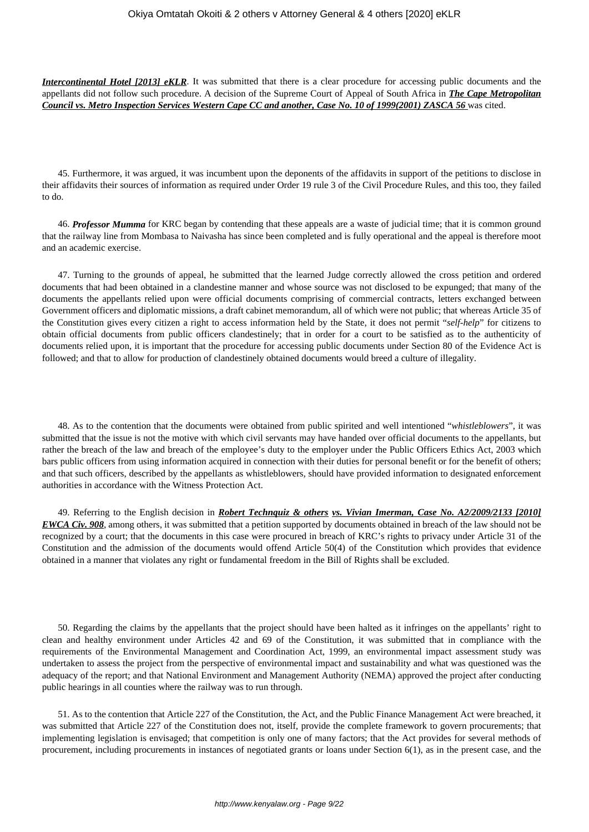*Intercontinental Hotel [2013] eKLR*. It was submitted that there is a clear procedure for accessing public documents and the appellants did not follow such procedure. A decision of the Supreme Court of Appeal of South Africa in *The Cape Metropolitan Council vs. Metro Inspection Services Western Cape CC and another, Case No. 10 of 1999(2001) ZASCA 56* was cited.

45. Furthermore, it was argued, it was incumbent upon the deponents of the affidavits in support of the petitions to disclose in their affidavits their sources of information as required under Order 19 rule 3 of the Civil Procedure Rules, and this too, they failed to do.

46. *Professor Mumma* for KRC began by contending that these appeals are a waste of judicial time; that it is common ground that the railway line from Mombasa to Naivasha has since been completed and is fully operational and the appeal is therefore moot and an academic exercise.

47. Turning to the grounds of appeal, he submitted that the learned Judge correctly allowed the cross petition and ordered documents that had been obtained in a clandestine manner and whose source was not disclosed to be expunged; that many of the documents the appellants relied upon were official documents comprising of commercial contracts, letters exchanged between Government officers and diplomatic missions, a draft cabinet memorandum, all of which were not public; that whereas Article 35 of the Constitution gives every citizen a right to access information held by the State, it does not permit "*self-help*" for citizens to obtain official documents from public officers clandestinely; that in order for a court to be satisfied as to the authenticity of documents relied upon, it is important that the procedure for accessing public documents under Section 80 of the Evidence Act is followed; and that to allow for production of clandestinely obtained documents would breed a culture of illegality.

48. As to the contention that the documents were obtained from public spirited and well intentioned "*whistleblowers*", it was submitted that the issue is not the motive with which civil servants may have handed over official documents to the appellants, but rather the breach of the law and breach of the employee's duty to the employer under the Public Officers Ethics Act, 2003 which bars public officers from using information acquired in connection with their duties for personal benefit or for the benefit of others; and that such officers, described by the appellants as whistleblowers, should have provided information to designated enforcement authorities in accordance with the Witness Protection Act.

49. Referring to the English decision in *Robert Technquiz & others vs. Vivian Imerman, Case No. A2/2009/2133 [2010] EWCA Civ. 908*, among others, it was submitted that a petition supported by documents obtained in breach of the law should not be recognized by a court; that the documents in this case were procured in breach of KRC's rights to privacy under Article 31 of the Constitution and the admission of the documents would offend Article 50(4) of the Constitution which provides that evidence obtained in a manner that violates any right or fundamental freedom in the Bill of Rights shall be excluded.

50. Regarding the claims by the appellants that the project should have been halted as it infringes on the appellants' right to clean and healthy environment under Articles 42 and 69 of the Constitution, it was submitted that in compliance with the requirements of the Environmental Management and Coordination Act, 1999, an environmental impact assessment study was undertaken to assess the project from the perspective of environmental impact and sustainability and what was questioned was the adequacy of the report; and that National Environment and Management Authority (NEMA) approved the project after conducting public hearings in all counties where the railway was to run through.

51. As to the contention that Article 227 of the Constitution, the Act, and the Public Finance Management Act were breached, it was submitted that Article 227 of the Constitution does not, itself, provide the complete framework to govern procurements; that implementing legislation is envisaged; that competition is only one of many factors; that the Act provides for several methods of procurement, including procurements in instances of negotiated grants or loans under Section 6(1), as in the present case, and the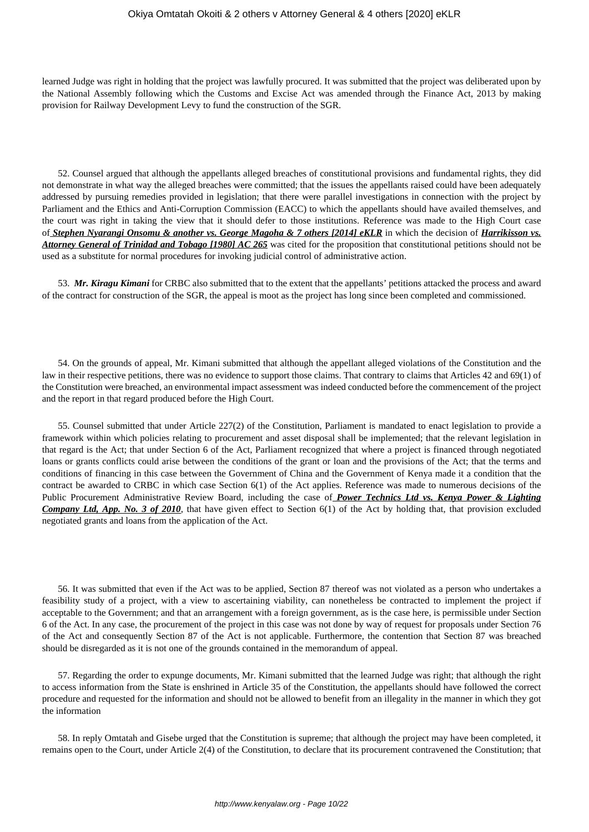learned Judge was right in holding that the project was lawfully procured. It was submitted that the project was deliberated upon by the National Assembly following which the Customs and Excise Act was amended through the Finance Act, 2013 by making provision for Railway Development Levy to fund the construction of the SGR.

52. Counsel argued that although the appellants alleged breaches of constitutional provisions and fundamental rights, they did not demonstrate in what way the alleged breaches were committed; that the issues the appellants raised could have been adequately addressed by pursuing remedies provided in legislation; that there were parallel investigations in connection with the project by Parliament and the Ethics and Anti-Corruption Commission (EACC) to which the appellants should have availed themselves, and the court was right in taking the view that it should defer to those institutions. Reference was made to the High Court case of *Stephen Nyarangi Onsomu & another vs. George Magoha & 7 others [2014] eKLR* in which the decision of *Harrikisson vs. Attorney General of Trinidad and Tobago [1980] AC 265* was cited for the proposition that constitutional petitions should not be used as a substitute for normal procedures for invoking judicial control of administrative action.

53. *Mr. Kiragu Kimani* for CRBC also submitted that to the extent that the appellants' petitions attacked the process and award of the contract for construction of the SGR, the appeal is moot as the project has long since been completed and commissioned.

54. On the grounds of appeal, Mr. Kimani submitted that although the appellant alleged violations of the Constitution and the law in their respective petitions, there was no evidence to support those claims. That contrary to claims that Articles 42 and 69(1) of the Constitution were breached, an environmental impact assessment was indeed conducted before the commencement of the project and the report in that regard produced before the High Court.

55. Counsel submitted that under Article 227(2) of the Constitution, Parliament is mandated to enact legislation to provide a framework within which policies relating to procurement and asset disposal shall be implemented; that the relevant legislation in that regard is the Act; that under Section 6 of the Act, Parliament recognized that where a project is financed through negotiated loans or grants conflicts could arise between the conditions of the grant or loan and the provisions of the Act; that the terms and conditions of financing in this case between the Government of China and the Government of Kenya made it a condition that the contract be awarded to CRBC in which case Section 6(1) of the Act applies. Reference was made to numerous decisions of the Public Procurement Administrative Review Board, including the case of *Power Technics Ltd vs. Kenya Power & Lighting Company Ltd, App. No. 3 of 2010*, that have given effect to Section 6(1) of the Act by holding that, that provision excluded negotiated grants and loans from the application of the Act.

56. It was submitted that even if the Act was to be applied, Section 87 thereof was not violated as a person who undertakes a feasibility study of a project, with a view to ascertaining viability, can nonetheless be contracted to implement the project if acceptable to the Government; and that an arrangement with a foreign government, as is the case here, is permissible under Section 6 of the Act. In any case, the procurement of the project in this case was not done by way of request for proposals under Section 76 of the Act and consequently Section 87 of the Act is not applicable. Furthermore, the contention that Section 87 was breached should be disregarded as it is not one of the grounds contained in the memorandum of appeal.

57. Regarding the order to expunge documents, Mr. Kimani submitted that the learned Judge was right; that although the right to access information from the State is enshrined in Article 35 of the Constitution, the appellants should have followed the correct procedure and requested for the information and should not be allowed to benefit from an illegality in the manner in which they got the information

58. In reply Omtatah and Gisebe urged that the Constitution is supreme; that although the project may have been completed, it remains open to the Court, under Article 2(4) of the Constitution, to declare that its procurement contravened the Constitution; that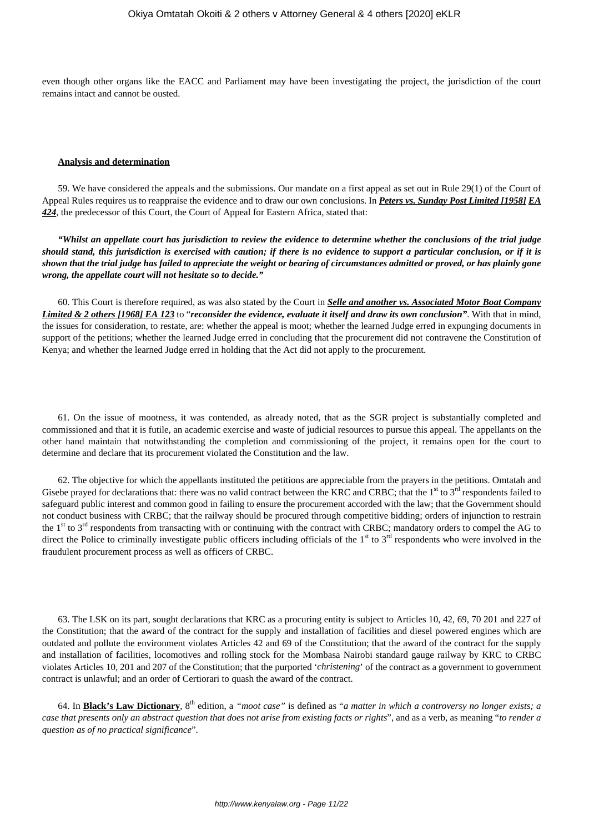even though other organs like the EACC and Parliament may have been investigating the project, the jurisdiction of the court remains intact and cannot be ousted.

#### **Analysis and determination**

59. We have considered the appeals and the submissions. Our mandate on a first appeal as set out in Rule 29(1) of the Court of Appeal Rules requires us to reappraise the evidence and to draw our own conclusions. In *Peters vs. Sunday Post Limited [1958] EA 424*, the predecessor of this Court, the Court of Appeal for Eastern Africa, stated that:

*"Whilst an appellate court has jurisdiction to review the evidence to determine whether the conclusions of the trial judge should stand, this jurisdiction is exercised with caution; if there is no evidence to support a particular conclusion, or if it is shown that the trial judge has failed to appreciate the weight or bearing of circumstances admitted or proved, or has plainly gone wrong, the appellate court will not hesitate so to decide."*

60. This Court is therefore required, as was also stated by the Court in *Selle and another vs. Associated Motor Boat Company Limited & 2 others [1968] EA 123* to "*reconsider the evidence, evaluate it itself and draw its own conclusion"*. With that in mind, the issues for consideration, to restate, are: whether the appeal is moot; whether the learned Judge erred in expunging documents in support of the petitions; whether the learned Judge erred in concluding that the procurement did not contravene the Constitution of Kenya; and whether the learned Judge erred in holding that the Act did not apply to the procurement.

61. On the issue of mootness, it was contended, as already noted, that as the SGR project is substantially completed and commissioned and that it is futile, an academic exercise and waste of judicial resources to pursue this appeal. The appellants on the other hand maintain that notwithstanding the completion and commissioning of the project, it remains open for the court to determine and declare that its procurement violated the Constitution and the law.

62. The objective for which the appellants instituted the petitions are appreciable from the prayers in the petitions. Omtatah and Gisebe prayed for declarations that: there was no valid contract between the KRC and CRBC; that the  $1<sup>st</sup>$  to  $3<sup>rd</sup>$  respondents failed to safeguard public interest and common good in failing to ensure the procurement accorded with the law; that the Government should not conduct business with CRBC; that the railway should be procured through competitive bidding; orders of injunction to restrain the 1<sup>st</sup> to 3<sup>rd</sup> respondents from transacting with or continuing with the contract with CRBC; mandatory orders to compel the AG to direct the Police to criminally investigate public officers including officials of the  $1<sup>st</sup>$  to  $3<sup>rd</sup>$  respondents who were involved in the fraudulent procurement process as well as officers of CRBC.

63. The LSK on its part, sought declarations that KRC as a procuring entity is subject to Articles 10, 42, 69, 70 201 and 227 of the Constitution; that the award of the contract for the supply and installation of facilities and diesel powered engines which are outdated and pollute the environment violates Articles 42 and 69 of the Constitution; that the award of the contract for the supply and installation of facilities, locomotives and rolling stock for the Mombasa Nairobi standard gauge railway by KRC to CRBC violates Articles 10, 201 and 207 of the Constitution; that the purported '*christening*' of the contract as a government to government contract is unlawful; and an order of Certiorari to quash the award of the contract.

64. In **Black's Law Dictionary**, 8th edition, a *"moot case"* is defined as "*a matter in which a controversy no longer exists; a case that presents only an abstract question that does not arise from existing facts or rights*", and as a verb, as meaning "*to render a question as of no practical significance*".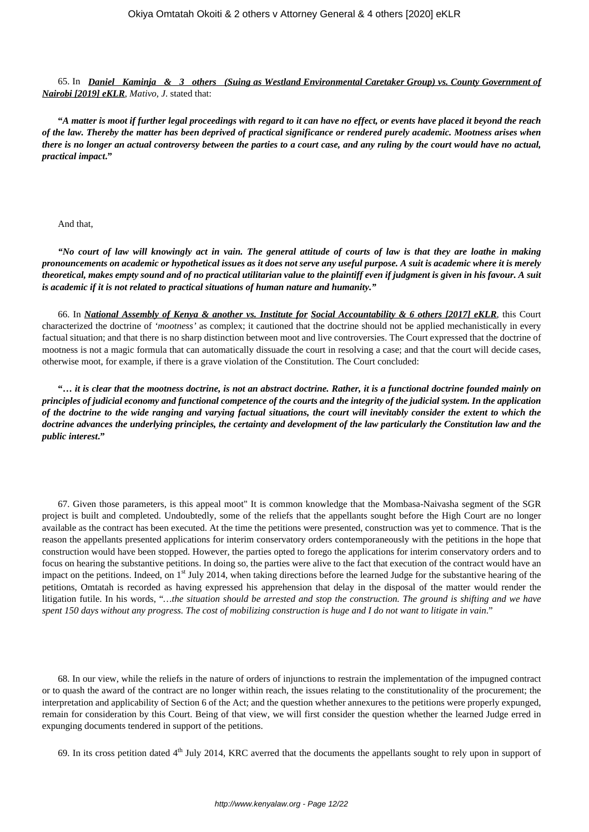65. In *Daniel Kaminja & 3 others (Suing as Westland Environmental Caretaker Group) vs. County Government of Nairobi [2019] eKLR*, *Mativo, J*. stated that:

**"***A matter is moot if further legal proceedings with regard to it can have no effect, or events have placed it beyond the reach of the law. Thereby the matter has been deprived of practical significance or rendered purely academic. Mootness arises when there is no longer an actual controversy between the parties to a court case, and any ruling by the court would have no actual, practical impact***."**

#### And that,

*"No court of law will knowingly act in vain. The general attitude of courts of law is that they are loathe in making pronouncements on academic or hypothetical issues as it does not serve any useful purpose. A suit is academic where it is merely theoretical, makes empty sound and of no practical utilitarian value to the plaintiff even if judgment is given in his favour. A suit is academic if it is not related to practical situations of human nature and humanity."*

66. In *National Assembly of Kenya & another vs. Institute for Social Accountability & 6 others [2017] eKLR*, this Court characterized the doctrine of *'mootness'* as complex; it cautioned that the doctrine should not be applied mechanistically in every factual situation; and that there is no sharp distinction between moot and live controversies. The Court expressed that the doctrine of mootness is not a magic formula that can automatically dissuade the court in resolving a case; and that the court will decide cases, otherwise moot, for example, if there is a grave violation of the Constitution. The Court concluded:

**"…** *it is clear that the mootness doctrine, is not an abstract doctrine. Rather, it is a functional doctrine founded mainly on principles of judicial economy and functional competence of the courts and the integrity of the judicial system. In the application of the doctrine to the wide ranging and varying factual situations, the court will inevitably consider the extent to which the doctrine advances the underlying principles, the certainty and development of the law particularly the Constitution law and the public interest***."**

67. Given those parameters, is this appeal moot" It is common knowledge that the Mombasa-Naivasha segment of the SGR project is built and completed. Undoubtedly, some of the reliefs that the appellants sought before the High Court are no longer available as the contract has been executed. At the time the petitions were presented, construction was yet to commence. That is the reason the appellants presented applications for interim conservatory orders contemporaneously with the petitions in the hope that construction would have been stopped. However, the parties opted to forego the applications for interim conservatory orders and to focus on hearing the substantive petitions. In doing so, the parties were alive to the fact that execution of the contract would have an impact on the petitions. Indeed, on 1<sup>st</sup> July 2014, when taking directions before the learned Judge for the substantive hearing of the petitions, Omtatah is recorded as having expressed his apprehension that delay in the disposal of the matter would render the litigation futile. In his words, "*…the situation should be arrested and stop the construction. The ground is shifting and we have spent 150 days without any progress. The cost of mobilizing construction is huge and I do not want to litigate in vain*."

68. In our view, while the reliefs in the nature of orders of injunctions to restrain the implementation of the impugned contract or to quash the award of the contract are no longer within reach, the issues relating to the constitutionality of the procurement; the interpretation and applicability of Section 6 of the Act; and the question whether annexures to the petitions were properly expunged, remain for consideration by this Court. Being of that view, we will first consider the question whether the learned Judge erred in expunging documents tendered in support of the petitions.

69. In its cross petition dated  $4<sup>th</sup>$  July 2014, KRC averred that the documents the appellants sought to rely upon in support of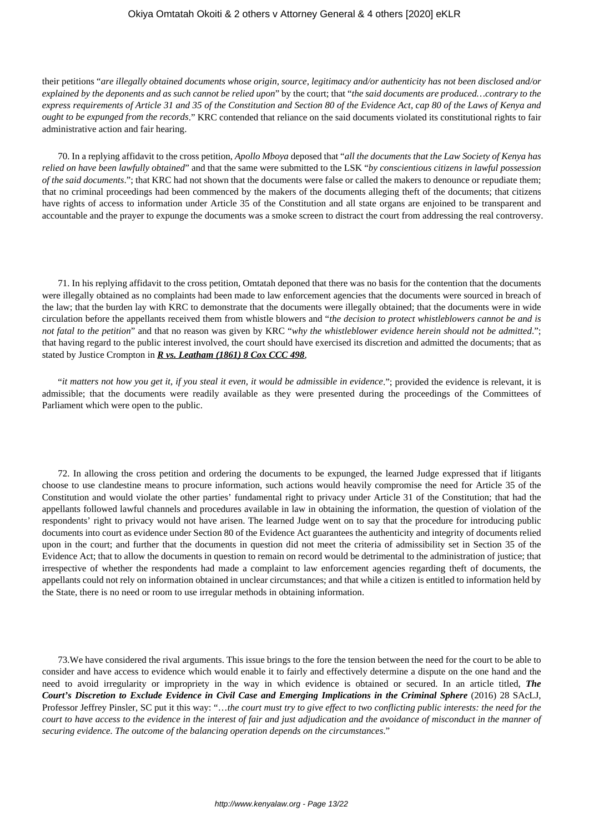their petitions "*are illegally obtained documents whose origin, source, legitimacy and/or authenticity has not been disclosed and/or explained by the deponents and as such cannot be relied upon*" by the court; that "*the said documents are produced…contrary to the express requirements of Article 31 and 35 of the Constitution and Section 80 of the Evidence Act, cap 80 of the Laws of Kenya and ought to be expunged from the records*." KRC contended that reliance on the said documents violated its constitutional rights to fair administrative action and fair hearing.

70. In a replying affidavit to the cross petition, *Apollo Mboya* deposed that "*all the documents that the Law Society of Kenya has relied on have been lawfully obtained*" and that the same were submitted to the LSK "*by conscientious citizens in lawful possession of the said documents*."; that KRC had not shown that the documents were false or called the makers to denounce or repudiate them; that no criminal proceedings had been commenced by the makers of the documents alleging theft of the documents; that citizens have rights of access to information under Article 35 of the Constitution and all state organs are enjoined to be transparent and accountable and the prayer to expunge the documents was a smoke screen to distract the court from addressing the real controversy.

71. In his replying affidavit to the cross petition, Omtatah deponed that there was no basis for the contention that the documents were illegally obtained as no complaints had been made to law enforcement agencies that the documents were sourced in breach of the law; that the burden lay with KRC to demonstrate that the documents were illegally obtained; that the documents were in wide circulation before the appellants received them from whistle blowers and "*the decision to protect whistleblowers cannot be and is not fatal to the petition*" and that no reason was given by KRC "*why the whistleblower evidence herein should not be admitted*."; that having regard to the public interest involved, the court should have exercised its discretion and admitted the documents; that as stated by Justice Crompton in *R vs. Leatham (1861) 8 Cox CCC 498*,

"*it matters not how you get it, if you steal it even, it would be admissible in evidence."*; provided the evidence is relevant, it is admissible; that the documents were readily available as they were presented during the proceedings of the Committees of Parliament which were open to the public.

72. In allowing the cross petition and ordering the documents to be expunged, the learned Judge expressed that if litigants choose to use clandestine means to procure information, such actions would heavily compromise the need for Article 35 of the Constitution and would violate the other parties' fundamental right to privacy under Article 31 of the Constitution; that had the appellants followed lawful channels and procedures available in law in obtaining the information, the question of violation of the respondents' right to privacy would not have arisen. The learned Judge went on to say that the procedure for introducing public documents into court as evidence under Section 80 of the Evidence Act guarantees the authenticity and integrity of documents relied upon in the court; and further that the documents in question did not meet the criteria of admissibility set in Section 35 of the Evidence Act; that to allow the documents in question to remain on record would be detrimental to the administration of justice; that irrespective of whether the respondents had made a complaint to law enforcement agencies regarding theft of documents, the appellants could not rely on information obtained in unclear circumstances; and that while a citizen is entitled to information held by the State, there is no need or room to use irregular methods in obtaining information.

73.We have considered the rival arguments. This issue brings to the fore the tension between the need for the court to be able to consider and have access to evidence which would enable it to fairly and effectively determine a dispute on the one hand and the need to avoid irregularity or impropriety in the way in which evidence is obtained or secured. In an article titled, *The Court's Discretion to Exclude Evidence in Civil Case and Emerging Implications in the Criminal Sphere* (2016) 28 SAcLJ, Professor Jeffrey Pinsler, SC put it this way: "…*the court must try to give effect to two conflicting public interests: the need for the court to have access to the evidence in the interest of fair and just adjudication and the avoidance of misconduct in the manner of securing evidence. The outcome of the balancing operation depends on the circumstances*."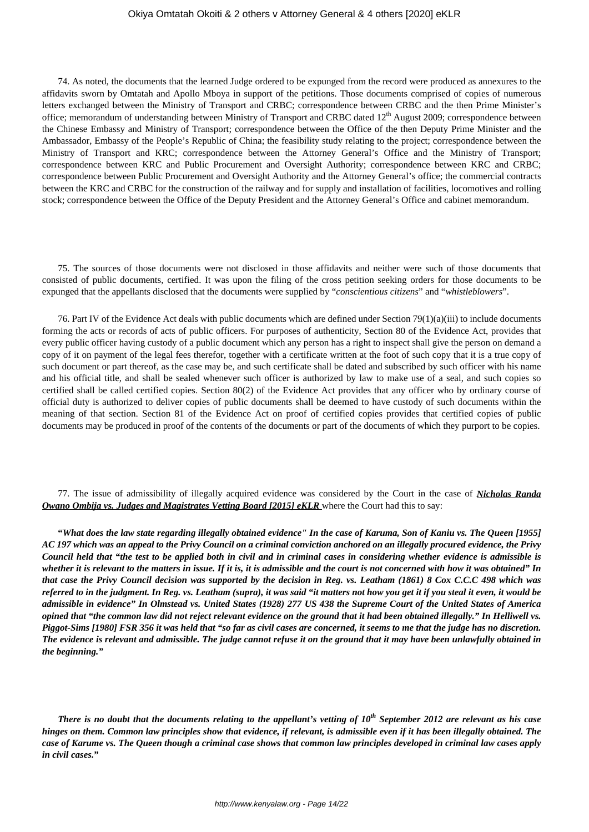74. As noted, the documents that the learned Judge ordered to be expunged from the record were produced as annexures to the affidavits sworn by Omtatah and Apollo Mboya in support of the petitions. Those documents comprised of copies of numerous letters exchanged between the Ministry of Transport and CRBC; correspondence between CRBC and the then Prime Minister's office; memorandum of understanding between Ministry of Transport and CRBC dated  $12<sup>th</sup>$  August 2009; correspondence between the Chinese Embassy and Ministry of Transport; correspondence between the Office of the then Deputy Prime Minister and the Ambassador, Embassy of the People's Republic of China; the feasibility study relating to the project; correspondence between the Ministry of Transport and KRC; correspondence between the Attorney General's Office and the Ministry of Transport; correspondence between KRC and Public Procurement and Oversight Authority; correspondence between KRC and CRBC; correspondence between Public Procurement and Oversight Authority and the Attorney General's office; the commercial contracts between the KRC and CRBC for the construction of the railway and for supply and installation of facilities, locomotives and rolling stock; correspondence between the Office of the Deputy President and the Attorney General's Office and cabinet memorandum.

75. The sources of those documents were not disclosed in those affidavits and neither were such of those documents that consisted of public documents, certified. It was upon the filing of the cross petition seeking orders for those documents to be expunged that the appellants disclosed that the documents were supplied by "*conscientious citizens*" and "*whistleblowers*".

76. Part IV of the Evidence Act deals with public documents which are defined under Section 79(1)(a)(iii) to include documents forming the acts or records of acts of public officers. For purposes of authenticity, Section 80 of the Evidence Act, provides that every public officer having custody of a public document which any person has a right to inspect shall give the person on demand a copy of it on payment of the legal fees therefor, together with a certificate written at the foot of such copy that it is a true copy of such document or part thereof, as the case may be, and such certificate shall be dated and subscribed by such officer with his name and his official title, and shall be sealed whenever such officer is authorized by law to make use of a seal, and such copies so certified shall be called certified copies. Section 80(2) of the Evidence Act provides that any officer who by ordinary course of official duty is authorized to deliver copies of public documents shall be deemed to have custody of such documents within the meaning of that section. Section 81 of the Evidence Act on proof of certified copies provides that certified copies of public documents may be produced in proof of the contents of the documents or part of the documents of which they purport to be copies.

77. The issue of admissibility of illegally acquired evidence was considered by the Court in the case of *Nicholas Randa Owano Ombija vs. Judges and Magistrates Vetting Board [2015] eKLR* where the Court had this to say:

**"***What does the law state regarding illegally obtained evidence" In the case of Karuma, Son of Kaniu vs. The Queen [1955] AC 197 which was an appeal to the Privy Council on a criminal conviction anchored on an illegally procured evidence, the Privy Council held that "the test to be applied both in civil and in criminal cases in considering whether evidence is admissible is whether it is relevant to the matters in issue. If it is, it is admissible and the court is not concerned with how it was obtained" In that case the Privy Council decision was supported by the decision in Reg. vs. Leatham (1861) 8 Cox C.C.C 498 which was referred to in the judgment. In Reg. vs. Leatham (supra), it was said "it matters not how you get it if you steal it even, it would be admissible in evidence" In Olmstead vs. United States (1928) 277 US 438 the Supreme Court of the United States of America opined that "the common law did not reject relevant evidence on the ground that it had been obtained illegally." In Helliwell vs. Piggot-Sims [1980] FSR 356 it was held that "so far as civil cases are concerned, it seems to me that the judge has no discretion. The evidence is relevant and admissible. The judge cannot refuse it on the ground that it may have been unlawfully obtained in the beginning."*

*There is no doubt that the documents relating to the appellant's vetting of 10th September 2012 are relevant as his case hinges on them. Common law principles show that evidence, if relevant, is admissible even if it has been illegally obtained. The case of Karume vs. The Queen though a criminal case shows that common law principles developed in criminal law cases apply in civil cases.***"**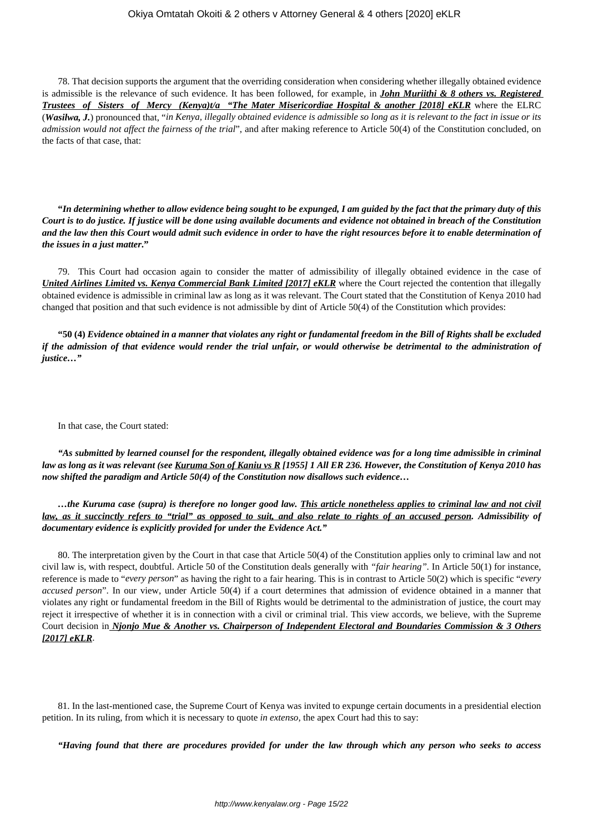78. That decision supports the argument that the overriding consideration when considering whether illegally obtained evidence is admissible is the relevance of such evidence. It has been followed, for example, in *John Muriithi & 8 others vs. Registered Trustees of Sisters of Mercy (Kenya)t/a "The Mater Misericordiae Hospital & another [2018] eKLR* where the ELRC (*Wasilwa, J.*) pronounced that, "*in Kenya, illegally obtained evidence is admissible so long as it is relevant to the fact in issue or its admission would not affect the fairness of the trial*", and after making reference to Article 50(4) of the Constitution concluded, on the facts of that case, that:

**"***In determining whether to allow evidence being sought to be expunged, I am guided by the fact that the primary duty of this Court is to do justice. If justice will be done using available documents and evidence not obtained in breach of the Constitution and the law then this Court would admit such evidence in order to have the right resources before it to enable determination of the issues in a just matter***."**

79. This Court had occasion again to consider the matter of admissibility of illegally obtained evidence in the case of *United Airlines Limited vs. Kenya Commercial Bank Limited [2017] eKLR* where the Court rejected the contention that illegally obtained evidence is admissible in criminal law as long as it was relevant. The Court stated that the Constitution of Kenya 2010 had changed that position and that such evidence is not admissible by dint of Article 50(4) of the Constitution which provides:

**"50 (4)** *Evidence obtained in a manner that violates any right or fundamental freedom in the Bill of Rights shall be excluded if the admission of that evidence would render the trial unfair, or would otherwise be detrimental to the administration of justice…"*

In that case, the Court stated:

*"As submitted by learned counsel for the respondent, illegally obtained evidence was for a long time admissible in criminal law as long as it was relevant (see Kuruma Son of Kaniu vs R [1955] 1 All ER 236. However, the Constitution of Kenya 2010 has now shifted the paradigm and Article 50(4) of the Constitution now disallows such evidence…*

*…the Kuruma case (supra) is therefore no longer good law. This article nonetheless applies to criminal law and not civil law, as it succinctly refers to "trial" as opposed to suit, and also relate to rights of an accused person. Admissibility of documentary evidence is explicitly provided for under the Evidence Act."*

80. The interpretation given by the Court in that case that Article 50(4) of the Constitution applies only to criminal law and not civil law is, with respect, doubtful. Article 50 of the Constitution deals generally with *"fair hearing".* In Article 50(1) for instance, reference is made to "*every person*" as having the right to a fair hearing. This is in contrast to Article 50(2) which is specific "*every accused person*". In our view, under Article 50(4) if a court determines that admission of evidence obtained in a manner that violates any right or fundamental freedom in the Bill of Rights would be detrimental to the administration of justice, the court may reject it irrespective of whether it is in connection with a civil or criminal trial. This view accords, we believe, with the Supreme Court decision in *Njonjo Mue & Another vs. Chairperson of Independent Electoral and Boundaries Commission & 3 Others [2017] eKLR*.

81. In the last-mentioned case, the Supreme Court of Kenya was invited to expunge certain documents in a presidential election petition. In its ruling, from which it is necessary to quote *in extenso,* the apex Court had this to say:

*"Having found that there are procedures provided for under the law through which any person who seeks to access*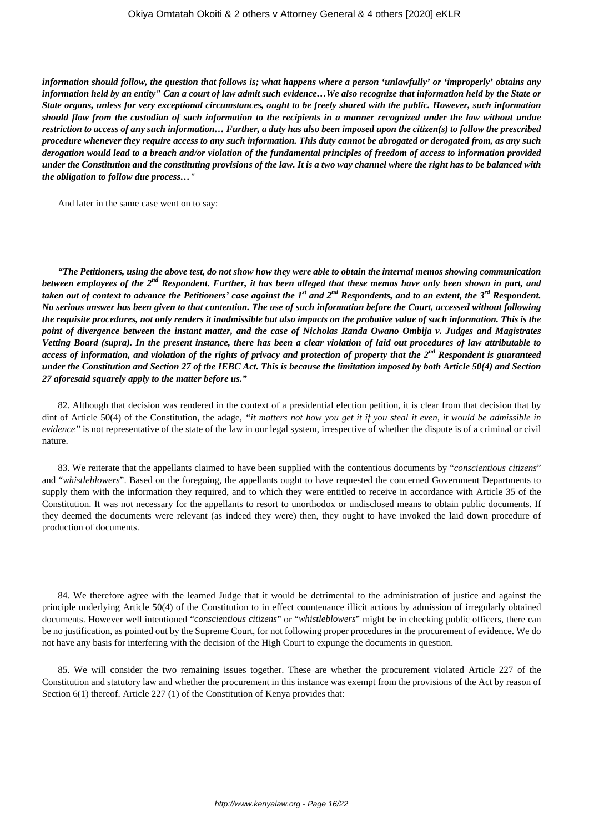*information should follow, the question that follows is; what happens where a person 'unlawfully' or 'improperly' obtains any information held by an entity" Can a court of law admit such evidence…We also recognize that information held by the State or State organs, unless for very exceptional circumstances, ought to be freely shared with the public. However, such information should flow from the custodian of such information to the recipients in a manner recognized under the law without undue restriction to access of any such information… Further, a duty has also been imposed upon the citizen(s) to follow the prescribed procedure whenever they require access to any such information. This duty cannot be abrogated or derogated from, as any such derogation would lead to a breach and/or violation of the fundamental principles of freedom of access to information provided under the Constitution and the constituting provisions of the law. It is a two way channel where the right has to be balanced with the obligation to follow due process…"*

And later in the same case went on to say:

*"The Petitioners, using the above test, do not show how they were able to obtain the internal memos showing communication between employees of the 2nd Respondent. Further, it has been alleged that these memos have only been shown in part, and taken out of context to advance the Petitioners' case against the 1st and 2nd Respondents, and to an extent, the 3rd Respondent. No serious answer has been given to that contention. The use of such information before the Court, accessed without following the requisite procedures, not only renders it inadmissible but also impacts on the probative value of such information. This is the point of divergence between the instant matter, and the case of Nicholas Randa Owano Ombija v. Judges and Magistrates Vetting Board (supra). In the present instance, there has been a clear violation of laid out procedures of law attributable to access of information, and violation of the rights of privacy and protection of property that the 2nd Respondent is guaranteed under the Constitution and Section 27 of the IEBC Act. This is because the limitation imposed by both Article 50(4) and Section 27 aforesaid squarely apply to the matter before us."*

82. Although that decision was rendered in the context of a presidential election petition, it is clear from that decision that by dint of Article 50(4) of the Constitution, the adage, *"it matters not how you get it if you steal it even, it would be admissible in evidence"* is not representative of the state of the law in our legal system, irrespective of whether the dispute is of a criminal or civil nature.

83. We reiterate that the appellants claimed to have been supplied with the contentious documents by "*conscientious citizens*" and "*whistleblowers*". Based on the foregoing, the appellants ought to have requested the concerned Government Departments to supply them with the information they required, and to which they were entitled to receive in accordance with Article 35 of the Constitution. It was not necessary for the appellants to resort to unorthodox or undisclosed means to obtain public documents. If they deemed the documents were relevant (as indeed they were) then, they ought to have invoked the laid down procedure of production of documents.

84. We therefore agree with the learned Judge that it would be detrimental to the administration of justice and against the principle underlying Article 50(4) of the Constitution to in effect countenance illicit actions by admission of irregularly obtained documents. However well intentioned "*conscientious citizens*" or "*whistleblowers*" might be in checking public officers, there can be no justification, as pointed out by the Supreme Court, for not following proper procedures in the procurement of evidence. We do not have any basis for interfering with the decision of the High Court to expunge the documents in question.

85. We will consider the two remaining issues together. These are whether the procurement violated Article 227 of the Constitution and statutory law and whether the procurement in this instance was exempt from the provisions of the Act by reason of Section 6(1) thereof. Article 227 (1) of the Constitution of Kenya provides that: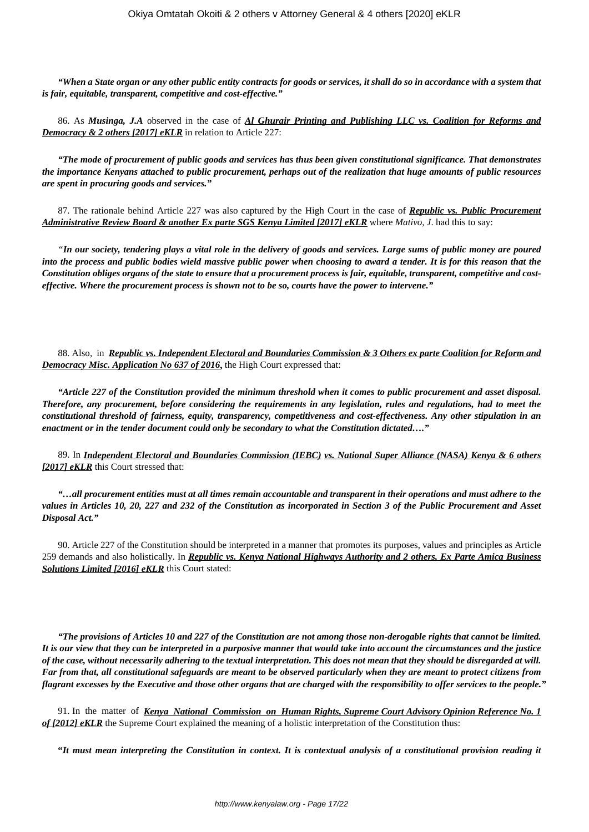*"When a State organ or any other public entity contracts for goods or services, it shall do so in accordance with a system that is fair, equitable, transparent, competitive and cost-effective."*

86. As *Musinga, J.A* observed in the case of *Al Ghurair Printing and Publishing LLC vs. Coalition for Reforms and* **Democracy & 2 others [2017] eKLR** in relation to Article 227:

*"The mode of procurement of public goods and services has thus been given constitutional significance. That demonstrates the importance Kenyans attached to public procurement, perhaps out of the realization that huge amounts of public resources are spent in procuring goods and services."*

87. The rationale behind Article 227 was also captured by the High Court in the case of *Republic vs. Public Procurement Administrative Review Board & another Ex parte SGS Kenya Limited [2017] eKLR* where *Mativo, J*. had this to say:

*"In our society, tendering plays a vital role in the delivery of goods and services. Large sums of public money are poured into the process and public bodies wield massive public power when choosing to award a tender. It is for this reason that the Constitution obliges organs of the state to ensure that a procurement process is fair, equitable, transparent, competitive and costeffective. Where the procurement process is shown not to be so, courts have the power to intervene."*

88. Also, in *Republic vs. Independent Electoral and Boundaries Commission & 3 Others ex parte Coalition for Reform and* **Democracy Misc. Application No 637 of 2016**, the High Court expressed that:

*"Article 227 of the Constitution provided the minimum threshold when it comes to public procurement and asset disposal. Therefore, any procurement, before considering the requirements in any legislation, rules and regulations, had to meet the constitutional threshold of fairness, equity, transparency, competitiveness and cost-effectiveness. Any other stipulation in an enactment or in the tender document could only be secondary to what the Constitution dictated…."*

89. In *Independent Electoral and Boundaries Commission (IEBC) vs. National Super Alliance (NASA) Kenya & 6 others [2017] eKLR* this Court stressed that:

*"…all procurement entities must at all times remain accountable and transparent in their operations and must adhere to the values in Articles 10, 20, 227 and 232 of the Constitution as incorporated in Section 3 of the Public Procurement and Asset Disposal Act."*

90. Article 227 of the Constitution should be interpreted in a manner that promotes its purposes, values and principles as Article 259 demands and also holistically. In *Republic vs. Kenya National Highways Authority and 2 others, Ex Parte Amica Business Solutions Limited [2016] eKLR* this Court stated:

*"The provisions of Articles 10 and 227 of the Constitution are not among those non-derogable rights that cannot be limited. It is our view that they can be interpreted in a purposive manner that would take into account the circumstances and the justice of the case, without necessarily adhering to the textual interpretation. This does not mean that they should be disregarded at will. Far from that, all constitutional safeguards are meant to be observed particularly when they are meant to protect citizens from flagrant excesses by the Executive and those other organs that are charged with the responsibility to offer services to the people."*

91. In the matter of *Kenya National Commission on Human Rights, Supreme Court Advisory Opinion Reference No. 1 of [2012] eKLR* the Supreme Court explained the meaning of a holistic interpretation of the Constitution thus:

**"***It must mean interpreting the Constitution in context. It is contextual analysis of a constitutional provision reading it*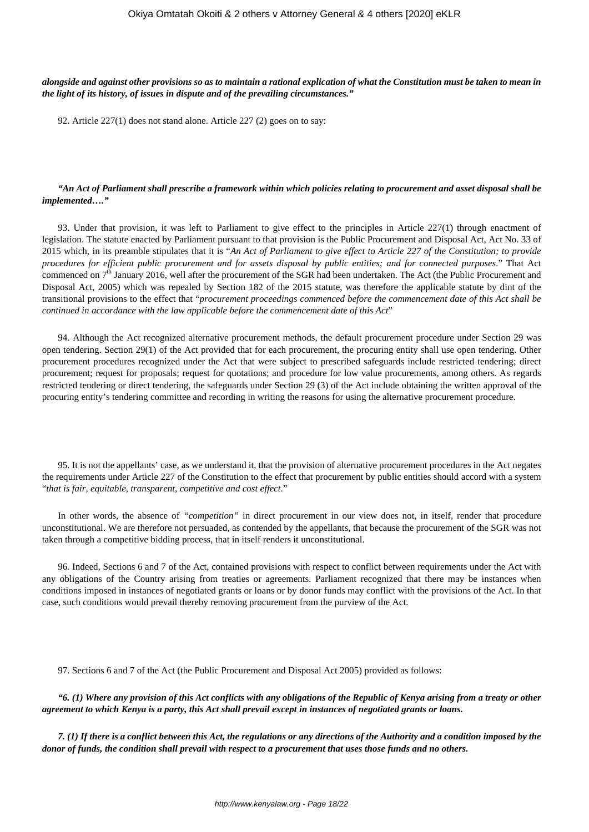### *alongside and against other provisions so as to maintain a rational explication of what the Constitution must be taken to mean in the light of its history, of issues in dispute and of the prevailing circumstances."*

92. Article 227(1) does not stand alone. Article 227 (2) goes on to say:

### *"An Act of Parliament shall prescribe a framework within which policies relating to procurement and asset disposal shall be implemented…."*

93. Under that provision, it was left to Parliament to give effect to the principles in Article 227(1) through enactment of legislation. The statute enacted by Parliament pursuant to that provision is the Public Procurement and Disposal Act, Act No. 33 of 2015 which, in its preamble stipulates that it is "*An Act of Parliament to give effect to Article 227 of the Constitution; to provide procedures for efficient public procurement and for assets disposal by public entities; and for connected purposes*." That Act commenced on  $7<sup>th</sup>$  January 2016, well after the procurement of the SGR had been undertaken. The Act (the Public Procurement and Disposal Act, 2005) which was repealed by Section 182 of the 2015 statute, was therefore the applicable statute by dint of the transitional provisions to the effect that "*procurement proceedings commenced before the commencement date of this Act shall be continued in accordance with the law applicable before the commencement date of this Act*"

94. Although the Act recognized alternative procurement methods, the default procurement procedure under Section 29 was open tendering. Section 29(1) of the Act provided that for each procurement, the procuring entity shall use open tendering. Other procurement procedures recognized under the Act that were subject to prescribed safeguards include restricted tendering; direct procurement; request for proposals; request for quotations; and procedure for low value procurements, among others. As regards restricted tendering or direct tendering, the safeguards under Section 29 (3) of the Act include obtaining the written approval of the procuring entity's tendering committee and recording in writing the reasons for using the alternative procurement procedure.

95. It is not the appellants' case, as we understand it, that the provision of alternative procurement procedures in the Act negates the requirements under Article 227 of the Constitution to the effect that procurement by public entities should accord with a system "*that is fair, equitable, transparent, competitive and cost effect*."

In other words, the absence of *"competition"* in direct procurement in our view does not, in itself, render that procedure unconstitutional. We are therefore not persuaded, as contended by the appellants, that because the procurement of the SGR was not taken through a competitive bidding process, that in itself renders it unconstitutional.

96. Indeed, Sections 6 and 7 of the Act, contained provisions with respect to conflict between requirements under the Act with any obligations of the Country arising from treaties or agreements. Parliament recognized that there may be instances when conditions imposed in instances of negotiated grants or loans or by donor funds may conflict with the provisions of the Act. In that case, such conditions would prevail thereby removing procurement from the purview of the Act.

97. Sections 6 and 7 of the Act (the Public Procurement and Disposal Act 2005) provided as follows:

*"6. (1) Where any provision of this Act conflicts with any obligations of the Republic of Kenya arising from a treaty or other agreement to which Kenya is a party, this Act shall prevail except in instances of negotiated grants or loans.*

*7. (1) If there is a conflict between this Act, the regulations or any directions of the Authority and a condition imposed by the donor of funds, the condition shall prevail with respect to a procurement that uses those funds and no others.*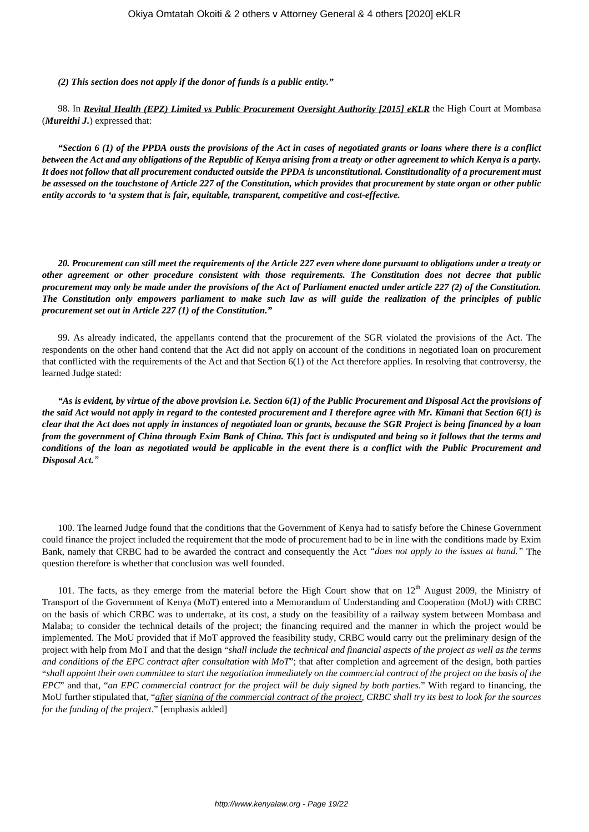*(2) This section does not apply if the donor of funds is a public entity."*

98. In *Revital Health (EPZ) Limited vs Public Procurement Oversight Authority [2015] eKLR* the High Court at Mombasa (*Mureithi J.*) expressed that:

*"Section 6 (1) of the PPDA ousts the provisions of the Act in cases of negotiated grants or loans where there is a conflict between the Act and any obligations of the Republic of Kenya arising from a treaty or other agreement to which Kenya is a party. It does not follow that all procurement conducted outside the PPDA is unconstitutional. Constitutionality of a procurement must be assessed on the touchstone of Article 227 of the Constitution, which provides that procurement by state organ or other public entity accords to 'a system that is fair, equitable, transparent, competitive and cost-effective.*

*20. Procurement can still meet the requirements of the Article 227 even where done pursuant to obligations under a treaty or other agreement or other procedure consistent with those requirements. The Constitution does not decree that public procurement may only be made under the provisions of the Act of Parliament enacted under article 227 (2) of the Constitution. The Constitution only empowers parliament to make such law as will guide the realization of the principles of public procurement set out in Article 227 (1) of the Constitution."*

99. As already indicated, the appellants contend that the procurement of the SGR violated the provisions of the Act. The respondents on the other hand contend that the Act did not apply on account of the conditions in negotiated loan on procurement that conflicted with the requirements of the Act and that Section 6(1) of the Act therefore applies. In resolving that controversy, the learned Judge stated:

*"As is evident, by virtue of the above provision i.e. Section 6(1) of the Public Procurement and Disposal Act the provisions of the said Act would not apply in regard to the contested procurement and I therefore agree with Mr. Kimani that Section 6(1) is clear that the Act does not apply in instances of negotiated loan or grants, because the SGR Project is being financed by a loan from the government of China through Exim Bank of China. This fact is undisputed and being so it follows that the terms and conditions of the loan as negotiated would be applicable in the event there is a conflict with the Public Procurement and Disposal Act."*

100. The learned Judge found that the conditions that the Government of Kenya had to satisfy before the Chinese Government could finance the project included the requirement that the mode of procurement had to be in line with the conditions made by Exim Bank, namely that CRBC had to be awarded the contract and consequently the Act *"does not apply to the issues at hand."* The question therefore is whether that conclusion was well founded.

101. The facts, as they emerge from the material before the High Court show that on  $12<sup>th</sup>$  August 2009, the Ministry of Transport of the Government of Kenya (MoT) entered into a Memorandum of Understanding and Cooperation (MoU) with CRBC on the basis of which CRBC was to undertake, at its cost, a study on the feasibility of a railway system between Mombasa and Malaba; to consider the technical details of the project; the financing required and the manner in which the project would be implemented. The MoU provided that if MoT approved the feasibility study, CRBC would carry out the preliminary design of the project with help from MoT and that the design "*shall include the technical and financial aspects of the project as well as the terms and conditions of the EPC contract after consultation with MoT*"; that after completion and agreement of the design, both parties "*shall appoint their own committee to start the negotiation immediately on the commercial contract of the project on the basis of the EPC*" and that, "*an EPC commercial contract for the project will be duly signed by both parties*." With regard to financing, the MoU further stipulated that, "*after signing of the commercial contract of the project, CRBC shall try its best to look for the sources for the funding of the project*." [emphasis added]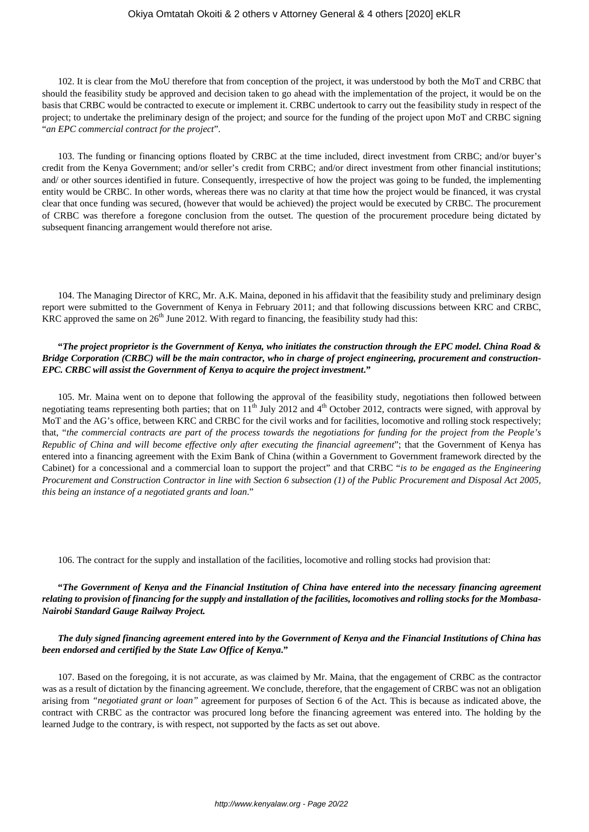102. It is clear from the MoU therefore that from conception of the project, it was understood by both the MoT and CRBC that should the feasibility study be approved and decision taken to go ahead with the implementation of the project, it would be on the basis that CRBC would be contracted to execute or implement it. CRBC undertook to carry out the feasibility study in respect of the project; to undertake the preliminary design of the project; and source for the funding of the project upon MoT and CRBC signing "*an EPC commercial contract for the project*".

103. The funding or financing options floated by CRBC at the time included, direct investment from CRBC; and/or buyer's credit from the Kenya Government; and/or seller's credit from CRBC; and/or direct investment from other financial institutions; and/ or other sources identified in future. Consequently, irrespective of how the project was going to be funded, the implementing entity would be CRBC. In other words, whereas there was no clarity at that time how the project would be financed, it was crystal clear that once funding was secured, (however that would be achieved) the project would be executed by CRBC. The procurement of CRBC was therefore a foregone conclusion from the outset. The question of the procurement procedure being dictated by subsequent financing arrangement would therefore not arise.

104. The Managing Director of KRC, Mr. A.K. Maina, deponed in his affidavit that the feasibility study and preliminary design report were submitted to the Government of Kenya in February 2011; and that following discussions between KRC and CRBC, KRC approved the same on  $26<sup>th</sup>$  June 2012. With regard to financing, the feasibility study had this:

### **"***The project proprietor is the Government of Kenya, who initiates the construction through the EPC model. China Road & Bridge Corporation (CRBC) will be the main contractor, who in charge of project engineering, procurement and construction-EPC. CRBC will assist the Government of Kenya to acquire the project investment***."**

105. Mr. Maina went on to depone that following the approval of the feasibility study, negotiations then followed between negotiating teams representing both parties; that on  $11<sup>th</sup>$  July 2012 and  $4<sup>th</sup>$  October 2012, contracts were signed, with approval by MoT and the AG's office, between KRC and CRBC for the civil works and for facilities, locomotive and rolling stock respectively; that, "*the commercial contracts are part of the process towards the negotiations for funding for the project from the People's Republic of China and will become effective only after executing the financial agreement*"; that the Government of Kenya has entered into a financing agreement with the Exim Bank of China (within a Government to Government framework directed by the Cabinet) for a concessional and a commercial loan to support the project" and that CRBC "*is to be engaged as the Engineering Procurement and Construction Contractor in line with Section 6 subsection (1) of the Public Procurement and Disposal Act 2005, this being an instance of a negotiated grants and loan*."

106. The contract for the supply and installation of the facilities, locomotive and rolling stocks had provision that:

## **"***The Government of Kenya and the Financial Institution of China have entered into the necessary financing agreement relating to provision of financing for the supply and installation of the facilities, locomotives and rolling stocks for the Mombasa-Nairobi Standard Gauge Railway Project.*

## *The duly signed financing agreement entered into by the Government of Kenya and the Financial Institutions of China has been endorsed and certified by the State Law Office of Kenya***."**

107. Based on the foregoing, it is not accurate, as was claimed by Mr. Maina, that the engagement of CRBC as the contractor was as a result of dictation by the financing agreement. We conclude, therefore, that the engagement of CRBC was not an obligation arising from *"negotiated grant or loan"* agreement for purposes of Section 6 of the Act. This is because as indicated above, the contract with CRBC as the contractor was procured long before the financing agreement was entered into. The holding by the learned Judge to the contrary, is with respect, not supported by the facts as set out above.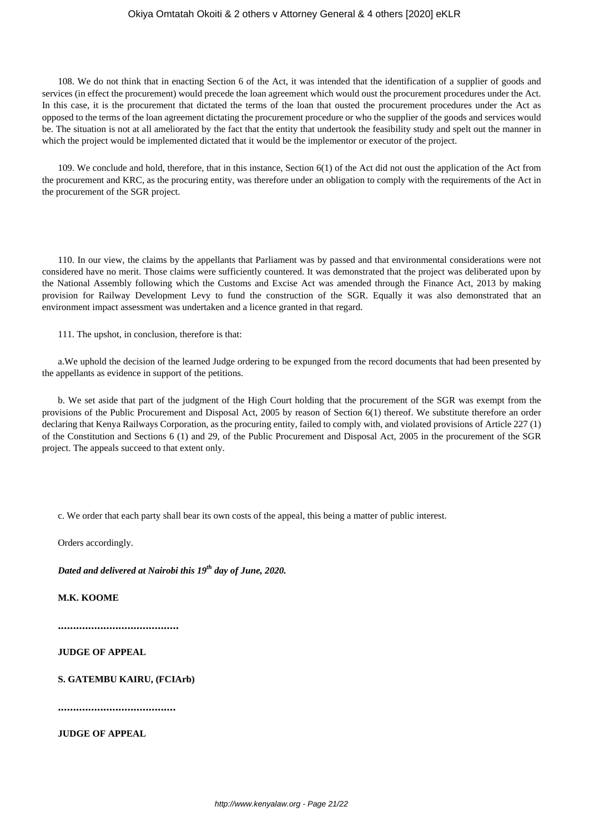108. We do not think that in enacting Section 6 of the Act, it was intended that the identification of a supplier of goods and services (in effect the procurement) would precede the loan agreement which would oust the procurement procedures under the Act. In this case, it is the procurement that dictated the terms of the loan that ousted the procurement procedures under the Act as opposed to the terms of the loan agreement dictating the procurement procedure or who the supplier of the goods and services would be. The situation is not at all ameliorated by the fact that the entity that undertook the feasibility study and spelt out the manner in which the project would be implemented dictated that it would be the implementor or executor of the project.

109. We conclude and hold, therefore, that in this instance, Section 6(1) of the Act did not oust the application of the Act from the procurement and KRC, as the procuring entity, was therefore under an obligation to comply with the requirements of the Act in the procurement of the SGR project.

110. In our view, the claims by the appellants that Parliament was by passed and that environmental considerations were not considered have no merit. Those claims were sufficiently countered. It was demonstrated that the project was deliberated upon by the National Assembly following which the Customs and Excise Act was amended through the Finance Act, 2013 by making provision for Railway Development Levy to fund the construction of the SGR. Equally it was also demonstrated that an environment impact assessment was undertaken and a licence granted in that regard.

111. The upshot, in conclusion, therefore is that:

a.We uphold the decision of the learned Judge ordering to be expunged from the record documents that had been presented by the appellants as evidence in support of the petitions.

b. We set aside that part of the judgment of the High Court holding that the procurement of the SGR was exempt from the provisions of the Public Procurement and Disposal Act, 2005 by reason of Section 6(1) thereof. We substitute therefore an order declaring that Kenya Railways Corporation, as the procuring entity, failed to comply with, and violated provisions of Article 227 (1) of the Constitution and Sections 6 (1) and 29, of the Public Procurement and Disposal Act, 2005 in the procurement of the SGR project. The appeals succeed to that extent only.

c. We order that each party shall bear its own costs of the appeal, this being a matter of public interest.

Orders accordingly.

*Dated and delivered at Nairobi this 19th day of June, 2020.*

**M.K. KOOME**

**........................................**

**JUDGE OF APPEAL**

**S. GATEMBU KAIRU, (FCIArb)**

**.......................................**

**JUDGE OF APPEAL**